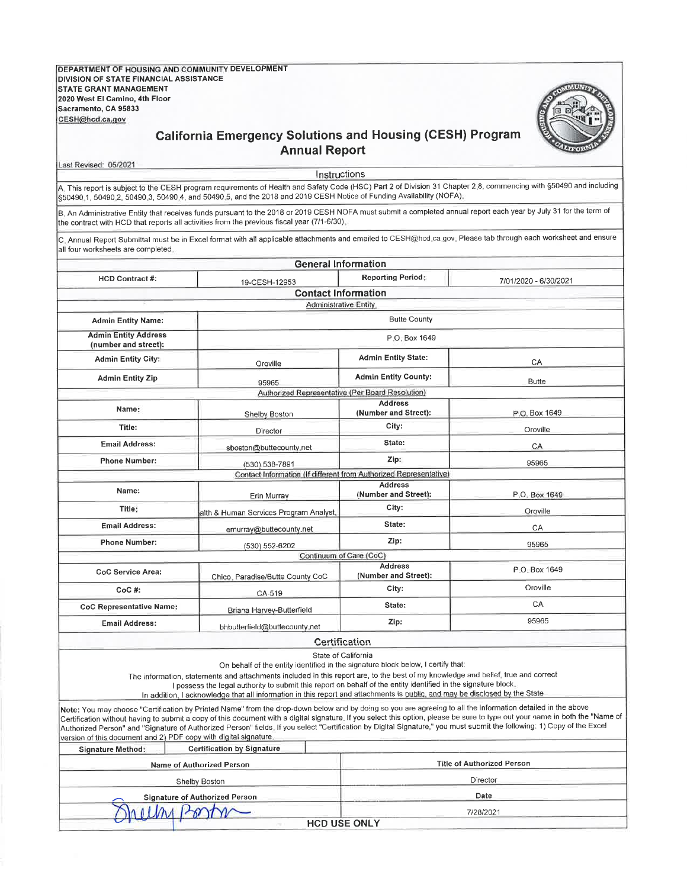DEPARTMENT OF HOUSING AND COMMUNITY DEVELOPMENT **DIVISION OF STATE FINANCIAL ASSISTANCE STATE GRANT MANAGEMENT** 2020 West El Camino, 4th Floor Sacramento, CA 95833 CESH@hcd.ca.gov



## **California Emergency Solutions and Housing (CESH) Program Annual Report**

Last Revised: 05/2021

Instructions

A. This report is subject to the CESH program requirements of Health and Safety Code (HSC) Part 2 of Division 31 Chapter 2.8, commencing with §50490 and including \$50490.1, 50490.2, 50490.3, 50490.4, and 50490.5, and the 2018 and 2019 CESH Notice of Funding Availability (NOFA)

B. An Administrative Entity that receives funds pursuant to the 2018 or 2019 CESH NOFA must submit a completed annual report each year by July 31 for the term of the contract with HCD that reports all activities from the previous fiscal year (7/1-6/30),

C. Annual Report Submittal must be in Excel format with all applicable attachments and emailed to CESH@hcd.ca.gov. Please tab through each worksheet and ensure all four worksheets are completed.

| <b>General Information</b>                                       |                                                                                                                                                                                                                                                                                                                                                                                                                                                                                               |                                        |                                                                                                                                                                                                                                                                                                                                                          |  |  |  |  |  |  |
|------------------------------------------------------------------|-----------------------------------------------------------------------------------------------------------------------------------------------------------------------------------------------------------------------------------------------------------------------------------------------------------------------------------------------------------------------------------------------------------------------------------------------------------------------------------------------|----------------------------------------|----------------------------------------------------------------------------------------------------------------------------------------------------------------------------------------------------------------------------------------------------------------------------------------------------------------------------------------------------------|--|--|--|--|--|--|
| <b>HCD Contract #:</b>                                           | 19-CESH-12953                                                                                                                                                                                                                                                                                                                                                                                                                                                                                 | <b>Reporting Period:</b>               | 7/01/2020 - 6/30/2021                                                                                                                                                                                                                                                                                                                                    |  |  |  |  |  |  |
| <b>Contact Information</b>                                       |                                                                                                                                                                                                                                                                                                                                                                                                                                                                                               |                                        |                                                                                                                                                                                                                                                                                                                                                          |  |  |  |  |  |  |
|                                                                  | <b>Administrative Entity</b>                                                                                                                                                                                                                                                                                                                                                                                                                                                                  |                                        |                                                                                                                                                                                                                                                                                                                                                          |  |  |  |  |  |  |
| <b>Admin Entity Name:</b>                                        |                                                                                                                                                                                                                                                                                                                                                                                                                                                                                               | <b>Butte County</b>                    |                                                                                                                                                                                                                                                                                                                                                          |  |  |  |  |  |  |
| <b>Admin Entity Address</b><br>(number and street):              |                                                                                                                                                                                                                                                                                                                                                                                                                                                                                               | P.O. Box 1649                          |                                                                                                                                                                                                                                                                                                                                                          |  |  |  |  |  |  |
| <b>Admin Entity City:</b>                                        | Oroville                                                                                                                                                                                                                                                                                                                                                                                                                                                                                      | <b>Admin Entity State:</b>             | CA                                                                                                                                                                                                                                                                                                                                                       |  |  |  |  |  |  |
| <b>Admin Entity Zip</b>                                          | 95965                                                                                                                                                                                                                                                                                                                                                                                                                                                                                         | <b>Admin Entity County:</b>            | <b>Butte</b>                                                                                                                                                                                                                                                                                                                                             |  |  |  |  |  |  |
| Authorized Representative (Per Board Resolution)                 |                                                                                                                                                                                                                                                                                                                                                                                                                                                                                               |                                        |                                                                                                                                                                                                                                                                                                                                                          |  |  |  |  |  |  |
| Name:                                                            | Shelby Boston                                                                                                                                                                                                                                                                                                                                                                                                                                                                                 | <b>Address</b><br>(Number and Street): | P.O. Box 1649                                                                                                                                                                                                                                                                                                                                            |  |  |  |  |  |  |
| Title:                                                           | Director                                                                                                                                                                                                                                                                                                                                                                                                                                                                                      | City:                                  | Oroville                                                                                                                                                                                                                                                                                                                                                 |  |  |  |  |  |  |
| <b>Email Address:</b>                                            | sboston@buttecounty.net                                                                                                                                                                                                                                                                                                                                                                                                                                                                       | State:                                 | CA                                                                                                                                                                                                                                                                                                                                                       |  |  |  |  |  |  |
| <b>Phone Number:</b>                                             | (530) 538-7891                                                                                                                                                                                                                                                                                                                                                                                                                                                                                | Zip:                                   | 95965                                                                                                                                                                                                                                                                                                                                                    |  |  |  |  |  |  |
|                                                                  | Contact Information (If different from Authorized Representative)                                                                                                                                                                                                                                                                                                                                                                                                                             |                                        |                                                                                                                                                                                                                                                                                                                                                          |  |  |  |  |  |  |
| Name:                                                            | Erin Murray                                                                                                                                                                                                                                                                                                                                                                                                                                                                                   | <b>Address</b><br>(Number and Street): | P.O. Box 1649                                                                                                                                                                                                                                                                                                                                            |  |  |  |  |  |  |
| Title:                                                           | alth & Human Services Program Analyst,                                                                                                                                                                                                                                                                                                                                                                                                                                                        | City:                                  | Oroville                                                                                                                                                                                                                                                                                                                                                 |  |  |  |  |  |  |
| <b>Email Address:</b>                                            | emurray@buttecounty.net                                                                                                                                                                                                                                                                                                                                                                                                                                                                       | State:                                 | CA                                                                                                                                                                                                                                                                                                                                                       |  |  |  |  |  |  |
| <b>Phone Number:</b>                                             | (530) 552-6202                                                                                                                                                                                                                                                                                                                                                                                                                                                                                | Zip:                                   | 95965                                                                                                                                                                                                                                                                                                                                                    |  |  |  |  |  |  |
|                                                                  | Continuum of Care (CoC)                                                                                                                                                                                                                                                                                                                                                                                                                                                                       |                                        |                                                                                                                                                                                                                                                                                                                                                          |  |  |  |  |  |  |
| CoC Service Area:                                                | Chico, Paradise/Butte County CoC                                                                                                                                                                                                                                                                                                                                                                                                                                                              | <b>Address</b><br>(Number and Street): | P.O. Box 1649                                                                                                                                                                                                                                                                                                                                            |  |  |  |  |  |  |
| $CoC$ #:                                                         | CA-519                                                                                                                                                                                                                                                                                                                                                                                                                                                                                        | City:                                  | Oroville                                                                                                                                                                                                                                                                                                                                                 |  |  |  |  |  |  |
| <b>CoC Representative Name:</b>                                  | Briana Harvey-Butterfield                                                                                                                                                                                                                                                                                                                                                                                                                                                                     | State:                                 | <b>CA</b>                                                                                                                                                                                                                                                                                                                                                |  |  |  |  |  |  |
| <b>Email Address:</b>                                            | bhbutterfield@buttecounty.net                                                                                                                                                                                                                                                                                                                                                                                                                                                                 | Zip:                                   | 95965                                                                                                                                                                                                                                                                                                                                                    |  |  |  |  |  |  |
|                                                                  | <b>Certification</b>                                                                                                                                                                                                                                                                                                                                                                                                                                                                          |                                        |                                                                                                                                                                                                                                                                                                                                                          |  |  |  |  |  |  |
|                                                                  | State of California<br>On behalf of the entity identified in the signature block below, I certify that:<br>The information, statements and attachments included in this report are, to the best of my knowledge and belief, true and correct<br>I possess the legal authority to submit this report on behalf of the entity identified in the signature block.<br>In addition, I acknowledge that all information in this report and attachments is public, and may be disclosed by the State |                                        |                                                                                                                                                                                                                                                                                                                                                          |  |  |  |  |  |  |
| version of this document and 2) PDF copy with digital signature. | Note: You may choose "Certification by Printed Name" from the drop-down below and by doing so you are agreeing to all the information detailed in the above                                                                                                                                                                                                                                                                                                                                   |                                        | Certification without having to submit a copy of this document with a digital signature. If you select this option, please be sure to type out your name in both the "Name of<br>Authorized Person" and "Signature of Authorized Person" fields. If you select "Certification by Digital Signature," you must submit the following: 1) Copy of the Excel |  |  |  |  |  |  |
| <b>Signature Method:</b>                                         | <b>Certification by Signature</b>                                                                                                                                                                                                                                                                                                                                                                                                                                                             |                                        |                                                                                                                                                                                                                                                                                                                                                          |  |  |  |  |  |  |
|                                                                  | Name of Authorized Person                                                                                                                                                                                                                                                                                                                                                                                                                                                                     |                                        | <b>Title of Authorized Person</b>                                                                                                                                                                                                                                                                                                                        |  |  |  |  |  |  |
|                                                                  | Shelby Boston                                                                                                                                                                                                                                                                                                                                                                                                                                                                                 |                                        | Director                                                                                                                                                                                                                                                                                                                                                 |  |  |  |  |  |  |
|                                                                  | <b>Signature of Authorized Person</b>                                                                                                                                                                                                                                                                                                                                                                                                                                                         |                                        | Date                                                                                                                                                                                                                                                                                                                                                     |  |  |  |  |  |  |
|                                                                  |                                                                                                                                                                                                                                                                                                                                                                                                                                                                                               |                                        | 7/28/2021                                                                                                                                                                                                                                                                                                                                                |  |  |  |  |  |  |
|                                                                  |                                                                                                                                                                                                                                                                                                                                                                                                                                                                                               | <b>HCD USE ONLY</b>                    |                                                                                                                                                                                                                                                                                                                                                          |  |  |  |  |  |  |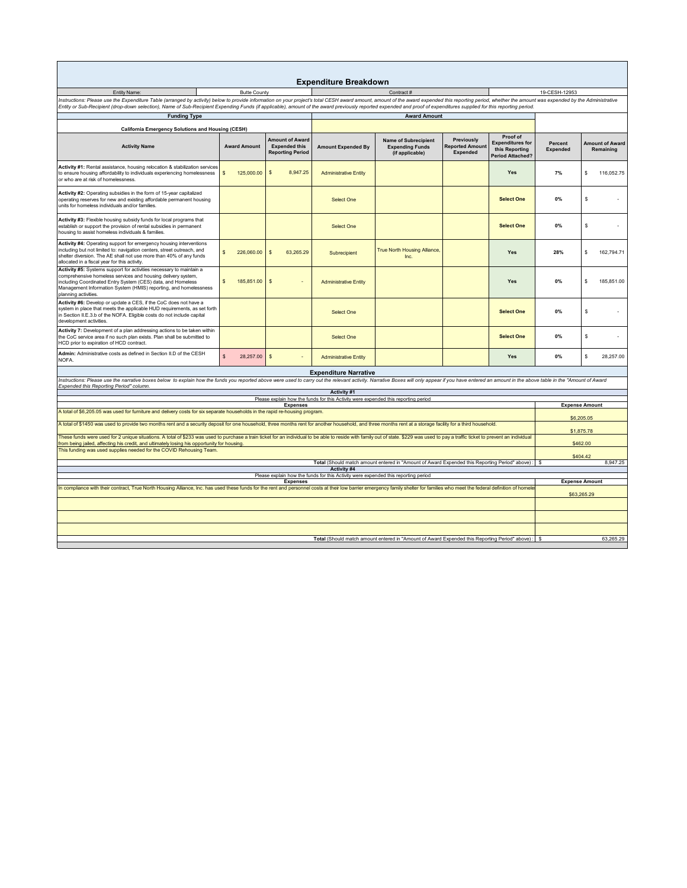|                                                                                                                                                                                                                                                                                                                                                                                                                                                                               |                                                                                                                     |                                                                           | <b>Expenditure Breakdown</b>                                                       |                                                                          |                                                         |                                                                                  |                            |                                     |  |  |
|-------------------------------------------------------------------------------------------------------------------------------------------------------------------------------------------------------------------------------------------------------------------------------------------------------------------------------------------------------------------------------------------------------------------------------------------------------------------------------|---------------------------------------------------------------------------------------------------------------------|---------------------------------------------------------------------------|------------------------------------------------------------------------------------|--------------------------------------------------------------------------|---------------------------------------------------------|----------------------------------------------------------------------------------|----------------------------|-------------------------------------|--|--|
| Entity Name:                                                                                                                                                                                                                                                                                                                                                                                                                                                                  | Contract#                                                                                                           |                                                                           |                                                                                    | 19-CESH-12953                                                            |                                                         |                                                                                  |                            |                                     |  |  |
| <b>Butte County</b><br>Instructions: Please use the Expenditure Table (arranged by activity) below to provide information on your project's total CESH award amount, amount of the award expended this reporting period, whether the amount was expen<br>Entity or Sub-Recipient (drop-down selection), Name of Sub-Recipient Expending Funds (if applicable), amount of the award previously reported expended and proof of expenditures supplied for this reporting period. |                                                                                                                     |                                                                           |                                                                                    |                                                                          |                                                         |                                                                                  |                            |                                     |  |  |
| <b>Funding Type</b>                                                                                                                                                                                                                                                                                                                                                                                                                                                           |                                                                                                                     | <b>Award Amount</b>                                                       |                                                                                    |                                                                          |                                                         |                                                                                  |                            |                                     |  |  |
| <b>California Emergency Solutions and Housing (CESH)</b>                                                                                                                                                                                                                                                                                                                                                                                                                      |                                                                                                                     |                                                                           |                                                                                    |                                                                          |                                                         |                                                                                  |                            |                                     |  |  |
| <b>Activity Name</b>                                                                                                                                                                                                                                                                                                                                                                                                                                                          | <b>Award Amount</b>                                                                                                 | <b>Amount of Award</b><br><b>Expended this</b><br><b>Reporting Period</b> | <b>Amount Expended By</b>                                                          | <b>Name of Subrecipient</b><br><b>Expending Funds</b><br>(if applicable) | Previously<br><b>Reported Amount</b><br><b>Expended</b> | Proof of<br><b>Expenditures for</b><br>this Reporting<br><b>Period Attached?</b> | Percent<br><b>Expended</b> | <b>Amount of Award</b><br>Remaining |  |  |
| Activity #1: Rental assistance, housing relocation & stabilization services<br>to ensure housing affordability to individuals experiencing homelessness<br>or who are at risk of homelessness.                                                                                                                                                                                                                                                                                | $\mathbb{S}$<br>125,000.00                                                                                          | $\mathbf{s}$<br>8.947.25                                                  | <b>Administrative Entity</b>                                                       |                                                                          |                                                         | <b>Yes</b>                                                                       | 7%                         | 116.052.75<br>\$.                   |  |  |
| Activity #2: Operating subsidies in the form of 15-year capitalized<br>operating reserves for new and existing affordable permanent housing<br>units for homeless individuals and/or families.                                                                                                                                                                                                                                                                                |                                                                                                                     |                                                                           | <b>Select One</b>                                                                  |                                                                          |                                                         | <b>Select One</b>                                                                | 0%                         | \$                                  |  |  |
| Activity #3: Flexible housing subsidy funds for local programs that<br>establish or support the provision of rental subsidies in permanent<br>housing to assist homeless individuals & families.                                                                                                                                                                                                                                                                              |                                                                                                                     |                                                                           | <b>Select One</b>                                                                  |                                                                          |                                                         | <b>Select One</b>                                                                | 0%                         | \$                                  |  |  |
| Activity #4: Operating support for emergency housing interventions<br>including but not limited to: navigation centers, street outreach, and<br>shelter diversion. The AE shall not use more than 40% of any funds<br>allocated in a fiscal year for this activity.                                                                                                                                                                                                           | 226,060.00<br>$\mathbb{S}$                                                                                          | 63,265.29<br>$\mathsf{s}$                                                 | Subrecipient                                                                       | <b>True North Housing Alliance,</b><br>Inc.                              |                                                         | Yes                                                                              | 28%                        | 162,794.71<br>s                     |  |  |
| Activity #5: Systems support for activities necessary to maintain a<br>comprehensive homeless services and housing delivery system,<br>including Coordinated Entry System (CES) data, and Homeless<br>Management Information System (HMIS) reporting, and homelessness<br>planning activities.                                                                                                                                                                                | 185,851.00<br>s                                                                                                     | $\mathbf{s}$                                                              | <b>Administrative Entity</b>                                                       |                                                                          |                                                         | <b>Yes</b>                                                                       | 0%                         | 185.851.00<br>\$.                   |  |  |
| Activity #6: Develop or update a CES, if the CoC does not have a<br>system in place that meets the applicable HUD requirements, as set forth<br>in Section II.E.3.b of the NOFA. Eligible costs do not include capital<br>development activities.                                                                                                                                                                                                                             |                                                                                                                     |                                                                           | Select One                                                                         |                                                                          |                                                         | <b>Select One</b>                                                                | 0%                         | \$                                  |  |  |
| Activity 7: Development of a plan addressing actions to be taken within<br>the CoC service area if no such plan exists. Plan shall be submitted to<br>HCD prior to expiration of HCD contract.                                                                                                                                                                                                                                                                                |                                                                                                                     |                                                                           | Select One                                                                         |                                                                          |                                                         | <b>Select One</b>                                                                | 0%                         | \$                                  |  |  |
| Admin: Administrative costs as defined in Section II.D of the CESH<br>NOFA.                                                                                                                                                                                                                                                                                                                                                                                                   | $\mathsf{s}$<br>28,257.00                                                                                           | $\mathbb{S}$                                                              | <b>Administrative Entity</b>                                                       |                                                                          |                                                         | Yes                                                                              | 0%                         | 28,257.00<br>\$.                    |  |  |
|                                                                                                                                                                                                                                                                                                                                                                                                                                                                               |                                                                                                                     |                                                                           | <b>Expenditure Narrative</b>                                                       |                                                                          |                                                         |                                                                                  |                            |                                     |  |  |
| Instructions: Please use the narrative boxes below to explain how the funds you reported above were used to carry out the relevant activity. Narrative Boxes will only appear if you have entered an amount in the above table                                                                                                                                                                                                                                                |                                                                                                                     |                                                                           |                                                                                    |                                                                          |                                                         |                                                                                  |                            |                                     |  |  |
| Expended this Reporting Period" column.<br>Activity #1                                                                                                                                                                                                                                                                                                                                                                                                                        |                                                                                                                     |                                                                           |                                                                                    |                                                                          |                                                         |                                                                                  |                            |                                     |  |  |
|                                                                                                                                                                                                                                                                                                                                                                                                                                                                               |                                                                                                                     |                                                                           | Please explain how the funds for this Activity were expended this reporting period |                                                                          |                                                         |                                                                                  |                            |                                     |  |  |
| <b>Expenses</b><br>A total of \$6,205.05 was used for furniture and delivery costs for six separate households in the rapid re-housing program.                                                                                                                                                                                                                                                                                                                               |                                                                                                                     |                                                                           |                                                                                    |                                                                          |                                                         |                                                                                  | <b>Expense Amount</b>      |                                     |  |  |
|                                                                                                                                                                                                                                                                                                                                                                                                                                                                               |                                                                                                                     |                                                                           |                                                                                    |                                                                          |                                                         |                                                                                  | \$6,205.05                 |                                     |  |  |
| A total of \$1450 was used to provide two months rent and a security deposit for one household, three months rent for another household, and three months rent at a storage facility for a third household.                                                                                                                                                                                                                                                                   |                                                                                                                     |                                                                           |                                                                                    |                                                                          |                                                         |                                                                                  |                            |                                     |  |  |
| These funds were used for 2 unique situations. A total of \$233 was used to purchase a train ticket for an individual to be able to reside with family out of state. \$229 was used to pay a traffic ticket to prevent an indivi<br>from being jailed, affecting his credit, and ultimately losing his opportunity for housing.                                                                                                                                               |                                                                                                                     |                                                                           |                                                                                    |                                                                          |                                                         |                                                                                  |                            | \$1,875.78<br>\$462.00              |  |  |
| This funding was used supplies needed for the COVID Rehousing Team.                                                                                                                                                                                                                                                                                                                                                                                                           |                                                                                                                     |                                                                           |                                                                                    |                                                                          |                                                         |                                                                                  |                            | \$404.42                            |  |  |
|                                                                                                                                                                                                                                                                                                                                                                                                                                                                               |                                                                                                                     | 8,947.25                                                                  |                                                                                    |                                                                          |                                                         |                                                                                  |                            |                                     |  |  |
|                                                                                                                                                                                                                                                                                                                                                                                                                                                                               | Total (Should match amount entered in "Amount of Award Expended this Reporting Period" above) :   \$<br>Activity #4 |                                                                           |                                                                                    |                                                                          |                                                         |                                                                                  |                            |                                     |  |  |
| Please explain how the funds for this Activity were expended this reporting period<br><b>Expense Amount</b><br><b>Expenses</b>                                                                                                                                                                                                                                                                                                                                                |                                                                                                                     |                                                                           |                                                                                    |                                                                          |                                                         |                                                                                  |                            |                                     |  |  |
| In compliance with their contract, True North Housing Alliance, Inc. has used these funds for the rent and personnel costs at their low barrier emergency family shelter for families who meet the federal definition of homel                                                                                                                                                                                                                                                |                                                                                                                     |                                                                           |                                                                                    |                                                                          |                                                         |                                                                                  | \$63,265.29                |                                     |  |  |
|                                                                                                                                                                                                                                                                                                                                                                                                                                                                               |                                                                                                                     |                                                                           |                                                                                    |                                                                          |                                                         |                                                                                  |                            |                                     |  |  |
|                                                                                                                                                                                                                                                                                                                                                                                                                                                                               |                                                                                                                     |                                                                           |                                                                                    |                                                                          |                                                         |                                                                                  |                            |                                     |  |  |
| Total (Should match amount entered in "Amount of Award Expended this Reporting Period" above) :                                                                                                                                                                                                                                                                                                                                                                               |                                                                                                                     |                                                                           |                                                                                    |                                                                          |                                                         |                                                                                  |                            | 63,265.29                           |  |  |
|                                                                                                                                                                                                                                                                                                                                                                                                                                                                               |                                                                                                                     |                                                                           |                                                                                    |                                                                          |                                                         |                                                                                  |                            |                                     |  |  |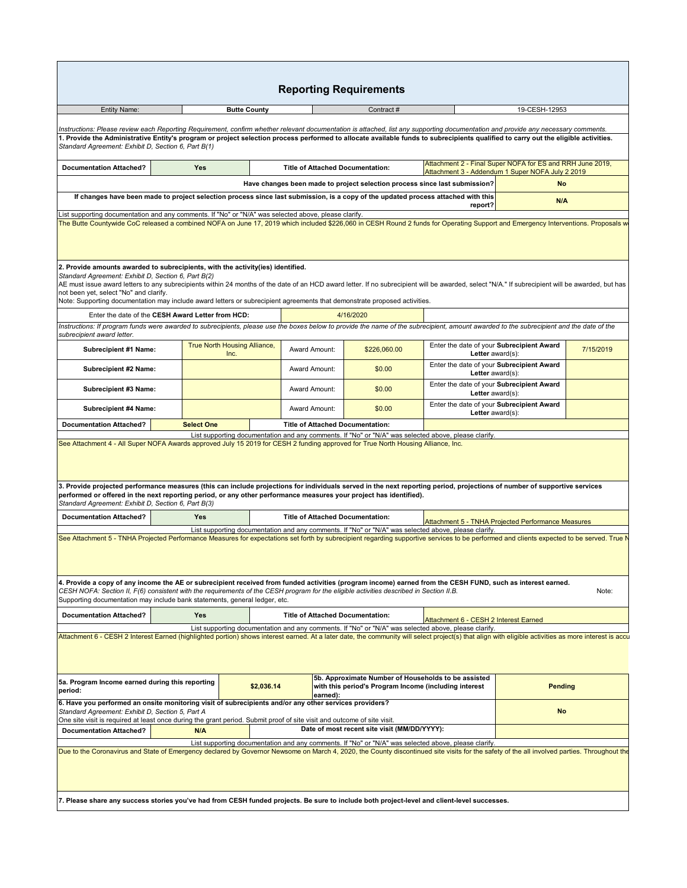| Entity Name:                                                                                                                                                                                                                                                                                                                                                                                                                                                                                                                                                                                                                                                                                                                                                                                                                                                                                                                                                                                                                                                                                                                                                                                                                                                                                                                                                                                                                                                                                                                                                                                                                                                                                                                                                                                                                                                                                                                                                                           |                   | <b>Butte County</b>                  |                                         | Contract#                                                                                                    |                                                                                                               | 19-CESH-12953                                                 |           |  |
|----------------------------------------------------------------------------------------------------------------------------------------------------------------------------------------------------------------------------------------------------------------------------------------------------------------------------------------------------------------------------------------------------------------------------------------------------------------------------------------------------------------------------------------------------------------------------------------------------------------------------------------------------------------------------------------------------------------------------------------------------------------------------------------------------------------------------------------------------------------------------------------------------------------------------------------------------------------------------------------------------------------------------------------------------------------------------------------------------------------------------------------------------------------------------------------------------------------------------------------------------------------------------------------------------------------------------------------------------------------------------------------------------------------------------------------------------------------------------------------------------------------------------------------------------------------------------------------------------------------------------------------------------------------------------------------------------------------------------------------------------------------------------------------------------------------------------------------------------------------------------------------------------------------------------------------------------------------------------------------|-------------------|--------------------------------------|-----------------------------------------|--------------------------------------------------------------------------------------------------------------|---------------------------------------------------------------------------------------------------------------|---------------------------------------------------------------|-----------|--|
| Instructions: Please review each Reporting Requirement, confirm whether relevant documentation is attached, list any supporting documentation and provide any necessary comments.<br>1. Provide the Administrative Entity's program or project selection process performed to allocate available funds to subrecipients qualified to carry out the eligible activities.<br>Standard Agreement: Exhibit D, Section 6, Part B(1)                                                                                                                                                                                                                                                                                                                                                                                                                                                                                                                                                                                                                                                                                                                                                                                                                                                                                                                                                                                                                                                                                                                                                                                                                                                                                                                                                                                                                                                                                                                                                         |                   |                                      |                                         |                                                                                                              |                                                                                                               |                                                               |           |  |
| <b>Documentation Attached?</b>                                                                                                                                                                                                                                                                                                                                                                                                                                                                                                                                                                                                                                                                                                                                                                                                                                                                                                                                                                                                                                                                                                                                                                                                                                                                                                                                                                                                                                                                                                                                                                                                                                                                                                                                                                                                                                                                                                                                                         | <b>Yes</b>        |                                      | <b>Title of Attached Documentation:</b> |                                                                                                              | Attachment 2 - Final Super NOFA for ES and RRH June 2019,<br>Attachment 3 - Addendum 1 Super NOFA July 2 2019 |                                                               |           |  |
|                                                                                                                                                                                                                                                                                                                                                                                                                                                                                                                                                                                                                                                                                                                                                                                                                                                                                                                                                                                                                                                                                                                                                                                                                                                                                                                                                                                                                                                                                                                                                                                                                                                                                                                                                                                                                                                                                                                                                                                        |                   |                                      |                                         | Have changes been made to project selection process since last submission?                                   |                                                                                                               | <b>No</b>                                                     |           |  |
| If changes have been made to project selection process since last submission, is a copy of the updated process attached with this                                                                                                                                                                                                                                                                                                                                                                                                                                                                                                                                                                                                                                                                                                                                                                                                                                                                                                                                                                                                                                                                                                                                                                                                                                                                                                                                                                                                                                                                                                                                                                                                                                                                                                                                                                                                                                                      |                   |                                      |                                         |                                                                                                              | report?                                                                                                       | N/A                                                           |           |  |
| List supporting documentation and any comments. If "No" or "N/A" was selected above, please clarify.<br>The Butte Countywide CoC released a combined NOFA on June 17, 2019 which included \$226,060 in CESH Round 2 funds for Operating Support and Emergency Interventions. Proposals w<br>2. Provide amounts awarded to subrecipients, with the activity(ies) identified.                                                                                                                                                                                                                                                                                                                                                                                                                                                                                                                                                                                                                                                                                                                                                                                                                                                                                                                                                                                                                                                                                                                                                                                                                                                                                                                                                                                                                                                                                                                                                                                                            |                   |                                      |                                         |                                                                                                              |                                                                                                               |                                                               |           |  |
| Standard Agreement: Exhibit D, Section 6, Part B(2)<br>AE must issue award letters to any subrecipients within 24 months of the date of an HCD award letter. If no subrecipient will be awarded, select "N/A." If subrecipient will be awarded, but has<br>not been yet, select "No" and clarify.<br>Note: Supporting documentation may include award letters or subrecipient agreements that demonstrate proposed activities.                                                                                                                                                                                                                                                                                                                                                                                                                                                                                                                                                                                                                                                                                                                                                                                                                                                                                                                                                                                                                                                                                                                                                                                                                                                                                                                                                                                                                                                                                                                                                         |                   |                                      |                                         |                                                                                                              |                                                                                                               |                                                               |           |  |
| Enter the date of the CESH Award Letter from HCD:                                                                                                                                                                                                                                                                                                                                                                                                                                                                                                                                                                                                                                                                                                                                                                                                                                                                                                                                                                                                                                                                                                                                                                                                                                                                                                                                                                                                                                                                                                                                                                                                                                                                                                                                                                                                                                                                                                                                      |                   |                                      |                                         | 4/16/2020                                                                                                    |                                                                                                               |                                                               |           |  |
| Instructions: If program funds were awarded to subrecipients, please use the boxes below to provide the name of the subrecipient, amount awarded to the subrecipient and the date of the<br>subrecipient award letter.                                                                                                                                                                                                                                                                                                                                                                                                                                                                                                                                                                                                                                                                                                                                                                                                                                                                                                                                                                                                                                                                                                                                                                                                                                                                                                                                                                                                                                                                                                                                                                                                                                                                                                                                                                 |                   |                                      |                                         |                                                                                                              |                                                                                                               |                                                               |           |  |
| Subrecipient #1 Name:                                                                                                                                                                                                                                                                                                                                                                                                                                                                                                                                                                                                                                                                                                                                                                                                                                                                                                                                                                                                                                                                                                                                                                                                                                                                                                                                                                                                                                                                                                                                                                                                                                                                                                                                                                                                                                                                                                                                                                  |                   | True North Housing Alliance,<br>Inc. | Award Amount:                           | \$226,060.00                                                                                                 | Enter the date of your Subrecipient Award<br>Letter award(s):                                                 |                                                               | 7/15/2019 |  |
| Subrecipient #2 Name:                                                                                                                                                                                                                                                                                                                                                                                                                                                                                                                                                                                                                                                                                                                                                                                                                                                                                                                                                                                                                                                                                                                                                                                                                                                                                                                                                                                                                                                                                                                                                                                                                                                                                                                                                                                                                                                                                                                                                                  |                   |                                      | Award Amount:                           | \$0.00                                                                                                       |                                                                                                               | Enter the date of your Subrecipient Award<br>Letter award(s): |           |  |
| Subrecipient #3 Name:                                                                                                                                                                                                                                                                                                                                                                                                                                                                                                                                                                                                                                                                                                                                                                                                                                                                                                                                                                                                                                                                                                                                                                                                                                                                                                                                                                                                                                                                                                                                                                                                                                                                                                                                                                                                                                                                                                                                                                  |                   |                                      | Award Amount:                           | \$0.00                                                                                                       |                                                                                                               | Enter the date of your Subrecipient Award<br>Letter award(s): |           |  |
|                                                                                                                                                                                                                                                                                                                                                                                                                                                                                                                                                                                                                                                                                                                                                                                                                                                                                                                                                                                                                                                                                                                                                                                                                                                                                                                                                                                                                                                                                                                                                                                                                                                                                                                                                                                                                                                                                                                                                                                        |                   |                                      |                                         |                                                                                                              |                                                                                                               |                                                               |           |  |
| <b>Subrecipient #4 Name:</b>                                                                                                                                                                                                                                                                                                                                                                                                                                                                                                                                                                                                                                                                                                                                                                                                                                                                                                                                                                                                                                                                                                                                                                                                                                                                                                                                                                                                                                                                                                                                                                                                                                                                                                                                                                                                                                                                                                                                                           |                   |                                      | Award Amount:                           | \$0.00                                                                                                       | Enter the date of your Subrecipient Award<br>Letter award(s):                                                 |                                                               |           |  |
|                                                                                                                                                                                                                                                                                                                                                                                                                                                                                                                                                                                                                                                                                                                                                                                                                                                                                                                                                                                                                                                                                                                                                                                                                                                                                                                                                                                                                                                                                                                                                                                                                                                                                                                                                                                                                                                                                                                                                                                        | <b>Select One</b> |                                      | <b>Title of Attached Documentation:</b> |                                                                                                              | List supporting documentation and any comments. If "No" or "N/A" was selected above, please clarify.          |                                                               |           |  |
|                                                                                                                                                                                                                                                                                                                                                                                                                                                                                                                                                                                                                                                                                                                                                                                                                                                                                                                                                                                                                                                                                                                                                                                                                                                                                                                                                                                                                                                                                                                                                                                                                                                                                                                                                                                                                                                                                                                                                                                        |                   |                                      |                                         |                                                                                                              |                                                                                                               |                                                               |           |  |
|                                                                                                                                                                                                                                                                                                                                                                                                                                                                                                                                                                                                                                                                                                                                                                                                                                                                                                                                                                                                                                                                                                                                                                                                                                                                                                                                                                                                                                                                                                                                                                                                                                                                                                                                                                                                                                                                                                                                                                                        | Yes               |                                      | <b>Title of Attached Documentation:</b> |                                                                                                              | Attachment 5 - TNHA Projected Performance Measures                                                            |                                                               |           |  |
|                                                                                                                                                                                                                                                                                                                                                                                                                                                                                                                                                                                                                                                                                                                                                                                                                                                                                                                                                                                                                                                                                                                                                                                                                                                                                                                                                                                                                                                                                                                                                                                                                                                                                                                                                                                                                                                                                                                                                                                        |                   |                                      |                                         |                                                                                                              | List supporting documentation and any comments. If "No" or "N/A" was selected above, please clarify.          |                                                               |           |  |
|                                                                                                                                                                                                                                                                                                                                                                                                                                                                                                                                                                                                                                                                                                                                                                                                                                                                                                                                                                                                                                                                                                                                                                                                                                                                                                                                                                                                                                                                                                                                                                                                                                                                                                                                                                                                                                                                                                                                                                                        |                   |                                      |                                         |                                                                                                              |                                                                                                               |                                                               | Note:     |  |
|                                                                                                                                                                                                                                                                                                                                                                                                                                                                                                                                                                                                                                                                                                                                                                                                                                                                                                                                                                                                                                                                                                                                                                                                                                                                                                                                                                                                                                                                                                                                                                                                                                                                                                                                                                                                                                                                                                                                                                                        | Yes               |                                      | <b>Title of Attached Documentation:</b> |                                                                                                              | Attachment 6 - CESH 2 Interest Earned                                                                         |                                                               |           |  |
|                                                                                                                                                                                                                                                                                                                                                                                                                                                                                                                                                                                                                                                                                                                                                                                                                                                                                                                                                                                                                                                                                                                                                                                                                                                                                                                                                                                                                                                                                                                                                                                                                                                                                                                                                                                                                                                                                                                                                                                        |                   |                                      |                                         |                                                                                                              | List supporting documentation and any comments. If "No" or "N/A" was selected above, please clarify.          |                                                               |           |  |
|                                                                                                                                                                                                                                                                                                                                                                                                                                                                                                                                                                                                                                                                                                                                                                                                                                                                                                                                                                                                                                                                                                                                                                                                                                                                                                                                                                                                                                                                                                                                                                                                                                                                                                                                                                                                                                                                                                                                                                                        |                   | \$2,036.14                           | earned):                                | 5b. Approximate Number of Households to be assisted<br>with this period's Program Income (including interest |                                                                                                               | <b>Pending</b>                                                |           |  |
|                                                                                                                                                                                                                                                                                                                                                                                                                                                                                                                                                                                                                                                                                                                                                                                                                                                                                                                                                                                                                                                                                                                                                                                                                                                                                                                                                                                                                                                                                                                                                                                                                                                                                                                                                                                                                                                                                                                                                                                        |                   |                                      |                                         |                                                                                                              |                                                                                                               | <b>No</b>                                                     |           |  |
|                                                                                                                                                                                                                                                                                                                                                                                                                                                                                                                                                                                                                                                                                                                                                                                                                                                                                                                                                                                                                                                                                                                                                                                                                                                                                                                                                                                                                                                                                                                                                                                                                                                                                                                                                                                                                                                                                                                                                                                        | N/A               |                                      |                                         | Date of most recent site visit (MM/DD/YYYY):                                                                 |                                                                                                               |                                                               |           |  |
| <b>Documentation Attached?</b><br>See Attachment 4 - All Super NOFA Awards approved July 15 2019 for CESH 2 funding approved for True North Housing Alliance, Inc.<br>3. Provide projected performance measures (this can include projections for individuals served in the next reporting period, projections of number of supportive services<br>performed or offered in the next reporting period, or any other performance measures your project has identified).<br>Standard Agreement: Exhibit D, Section 6, Part B(3)<br><b>Documentation Attached?</b><br>See Attachment 5 - TNHA Projected Performance Measures for expectations set forth by subrecipient regarding supportive services to be performed and clients expected to be served. True N<br>4. Provide a copy of any income the AE or subrecipient received from funded activities (program income) earned from the CESH FUND, such as interest earned.<br>CESH NOFA: Section II, F(6) consistent with the requirements of the CESH program for the eligible activities described in Section II.B.<br>Supporting documentation may include bank statements, general ledger, etc.<br><b>Documentation Attached?</b><br>Attachment 6 - CESH 2 Interest Earned (highlighted portion) shows interest earned. At a later date, the community will select project(s) that align with eligible activities as more interest is accu<br>5a. Program Income earned during this reporting<br>period:<br>6. Have you performed an onsite monitoring visit of subrecipients and/or any other services providers?<br>Standard Agreement: Exhibit D, Section 5, Part A<br>One site visit is required at least once during the grant period. Submit proof of site visit and outcome of site visit.<br><b>Documentation Attached?</b><br>Due to the Coronavirus and State of Emergency declared by Governor Newsome on March 4, 2020, the County discontinued site visits for the safety of the all involved parties. Throughout the |                   |                                      |                                         |                                                                                                              | List supporting documentation and any comments. If "No" or "N/A" was selected above, please clarify.          |                                                               |           |  |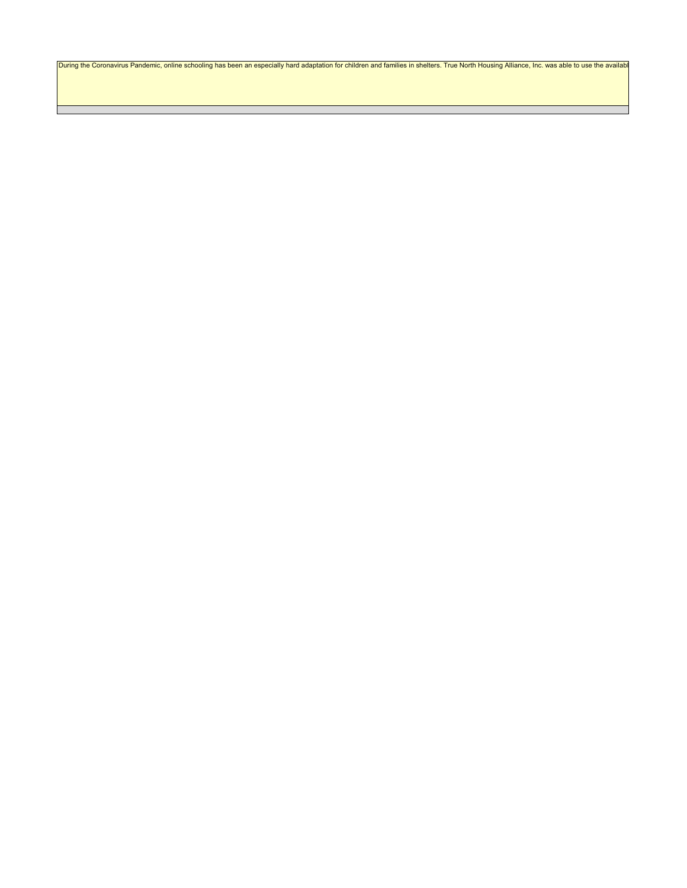During the Coronavirus Pandemic, online schooling has been an especially hard adaptation for children and families in shelters. True North Housing Alliance, Inc. was able to use the availabl